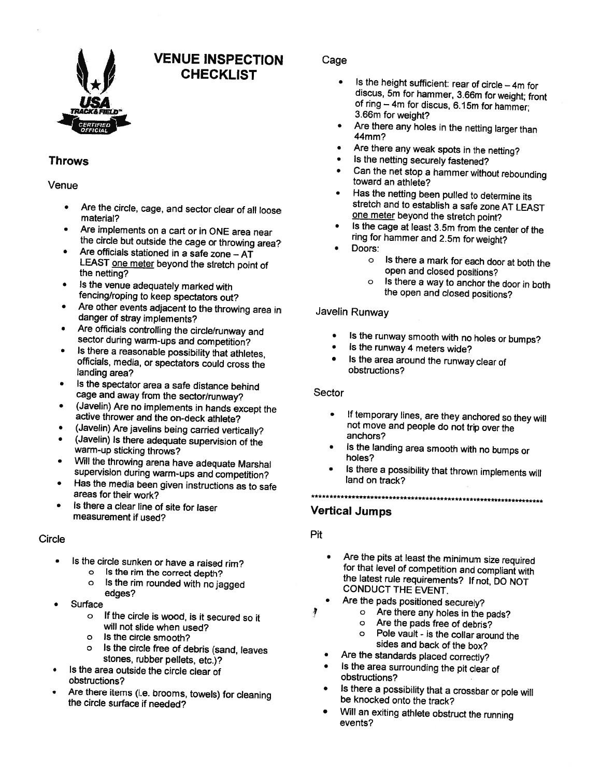

# VENUE INSPECTION **CHECKLIST**

# Throws

#### Venue

- • Are the circle, cage, and sector clear of all loose material?
- • Are implements on <sup>a</sup> cart or in ONE area near the circle but outside the cage or throwing area?
- • Are officials stationed in <sup>a</sup> safe zone — AT LEAST one meter beyond the stretch point of the netting?
- • Is the venue adequately marked with fencing/roping to keep spectators out?
- • Are other events adjacent to the throwing area in danger of stray implements?
- • Are officials controlling the circle/runway and sector during warm-ups and competition?
- • Is there <sup>a</sup> reasonable possibility that athletes, officials, media, or spectators could cross the landing area?
- • Is the spectator area <sup>a</sup> safe distance behind cage and away from the sector/runway?
- • (Javelin) Are no implements in hands except the active thrower and the on-deck athlete?
- •(Javelin) Are javelins being carried vertically?
- • (Javelin) Is there adequate supervision of the warm-up sticking throws?
- • Will the throwing arena have adequate Marshal supervision during warm-ups and competition?
- • Has the media been <sup>g</sup>iven instructions as to safe areas for their work?
- • Is there <sup>a</sup> clear line of site for laser measurement if used?

#### **Circle**

- • Is the circle sunken or have <sup>a</sup> raised rim?
	- o Is the rim the correct depth?<br>o Is the rim rounded with no ia
	- Is the rim rounded with no jagged edges?
- •**Surface** 
	- <sup>o</sup> If the circle is wood, is it secured so it will not slide when used?
	- <sup>o</sup> Is the circle smooth?
	- <sup>o</sup> Is the circle free of debris (sand, leaves stones, rubber pellets, etc.)?
- • Is the area outside the circle clear of obstructions?
- • Are there items (i.e. brooms, towels) for cleaning the circle surface if needed?

## Cage

- $\bullet$   $\quad$  Is the height sufficient: rear of circle 4m for discus, 5m for hammer, 3.66m for weight; front of ring — 4m for discus, 6.15m for hammer; 3.66m for weight?
- Are there any holes in the netting larger than 44mm?
- Are there any weak spots in the netting?
- Is the netting securely fastened?
- Can the net stop <sup>a</sup> hammer without rebounding toward an athlete?
- Has the netting been pulled to determine its stretch and to establish <sup>a</sup> safe zone AT LEAST one meter beyond the stretch point?
- • Is the cage at least 3.5m from the center of the ring for hammer and 2.5m for weight?
- • Doors:
	- <sup>o</sup> Is there <sup>a</sup> mark for each door at both the open and closed positions?
	- <sup>o</sup> Is there <sup>a</sup> way to anchor the door in both the open and closed positions?

#### Javelin Runway

- •Is the runway smooth with no holes or bumps?<br>It is the runway 4 meters wide?
- is the runway 4 meters wide?
- • Is the area around the runway clear of obstructions?

#### Sector

- • If temporary lines, are they anchored so they will not move and people do not trip over the anchors?
- • Is the landing area smooth with no bumps or holes?
- Is there <sup>a</sup> possibility that thrown implements will land on track?

# 

### Vertical Jumps

Pit

•

- • Are the <sup>p</sup>its at least the minimum size required for that level of competition and compliant with the latest rule requirements? If not, DO NOT CONDUCT THE EVENT.
- Are the pads positioned securely?<br>  $\circ$  Are there any holes in the •ş
	- o Are there any holes in the pads?<br>  $\Omega$  Are the pads free of debris?
	- Are the pads free of debris?
	- <sup>o</sup> Pole vault is the collar around the sides and back of the box?
	- Are the standards <sup>p</sup>laced correctly?
	- Is the area surrounding the <sup>p</sup>it clear of obstructions?
	- • Is there <sup>a</sup> possibility that <sup>a</sup> crossbar or pole will be knocked onto the track?
	- • Will an exiting athlete obstruct the running events?